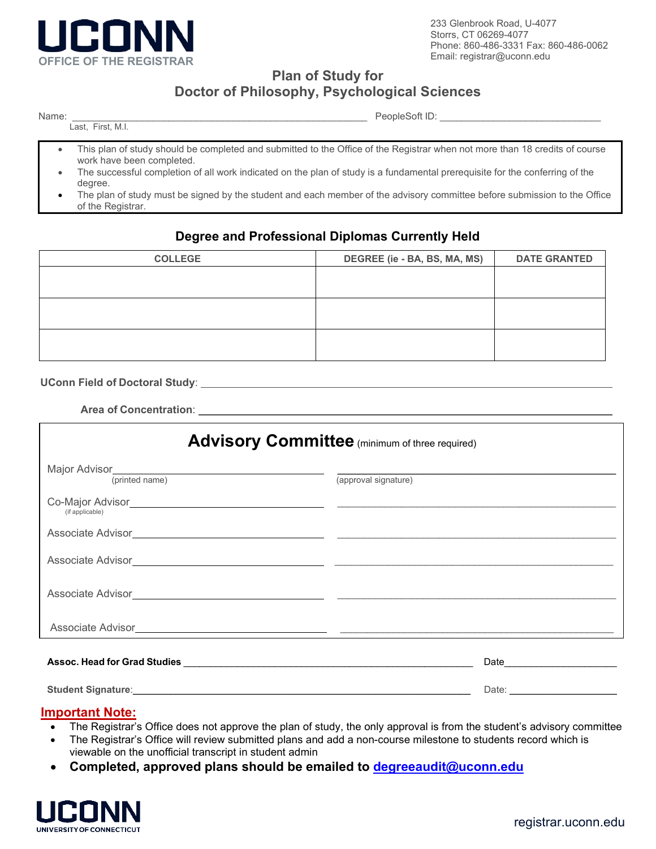

233 Glenbrook Road, U-4077 Storrs, CT 06269-4077 Phone: 860-486-3331 Fax: 860-486-0062 Email: [registrar@uconn.edu](mailto:registrar@uconn.edu)

**Plan of Study for** 

# **Doctor of Philosophy, Psychological Sciences**

| × |  |  |  |
|---|--|--|--|
|---|--|--|--|

\_\_\_\_\_\_\_\_\_\_\_\_\_\_\_\_\_\_\_\_\_\_\_\_\_\_\_\_\_\_\_\_\_\_\_\_\_\_\_\_\_\_\_\_\_\_\_\_\_\_\_\_\_\_\_ PeopleSoft ID: \_\_\_\_\_\_\_\_\_\_\_\_\_\_\_\_\_\_\_\_\_\_\_\_\_\_\_\_\_\_

Last, First, M.I.

This plan of study should be completed and submitted to the Office of the Registrar when not more than 18 credits of course work have been completed.

- The successful completion of all work indicated on the plan of study is a fundamental prerequisite for the conferring of the degree.
- The plan of study must be signed by the student and each member of the advisory committee before submission to the Office of the Registrar.

### **Degree and Professional Diplomas Currently Held**

| <b>COLLEGE</b> | DEGREE (ie - BA, BS, MA, MS) | <b>DATE GRANTED</b> |
|----------------|------------------------------|---------------------|
|                |                              |                     |
|                |                              |                     |
|                |                              |                     |
|                |                              |                     |
|                |                              |                     |
|                |                              |                     |

**UConn Field of Doctoral Study**:

 **Area of Concentration**:

| <b>Advisory Committee</b> (minimum of three required)                                                                                                                                                                                                  |                                                                                                                                                                                                                                |  |  |  |
|--------------------------------------------------------------------------------------------------------------------------------------------------------------------------------------------------------------------------------------------------------|--------------------------------------------------------------------------------------------------------------------------------------------------------------------------------------------------------------------------------|--|--|--|
| Major Advisor <u>(which came)</u><br>(printed name)                                                                                                                                                                                                    | (approval signature)                                                                                                                                                                                                           |  |  |  |
| Co-Major Advisor <b>Communication</b> Communication and Communication Communication and Communication Communication and Communication Communication and Communication Communication and Communication Communication Communication C<br>(if applicable) |                                                                                                                                                                                                                                |  |  |  |
| Associate Advisor <b>Associate Advisor Associate Advisor</b>                                                                                                                                                                                           |                                                                                                                                                                                                                                |  |  |  |
| Associate Advisor Associate Advisor Associate Advisor Associate Advisor Associate Advisor                                                                                                                                                              |                                                                                                                                                                                                                                |  |  |  |
| Associate Advisor <b>Associate Advisor</b>                                                                                                                                                                                                             |                                                                                                                                                                                                                                |  |  |  |
| Associate Advisor <b>Associate Advisor Associate Advisor</b>                                                                                                                                                                                           |                                                                                                                                                                                                                                |  |  |  |
|                                                                                                                                                                                                                                                        |                                                                                                                                                                                                                                |  |  |  |
|                                                                                                                                                                                                                                                        | Date: the contract of the contract of the contract of the contract of the contract of the contract of the contract of the contract of the contract of the contract of the contract of the contract of the contract of the cont |  |  |  |

#### **Important Note:**

- The Registrar's Office does not approve the plan of study, the only approval is from the student's advisory committee
- The Registrar's Office will review submitted plans and add a non-course milestone to students record which is viewable on the unofficial transcript in student admin
- **Completed, approved plans should be emailed to [degreeaudit@uconn.edu](mailto:degreeaudit@uconn.edu)**

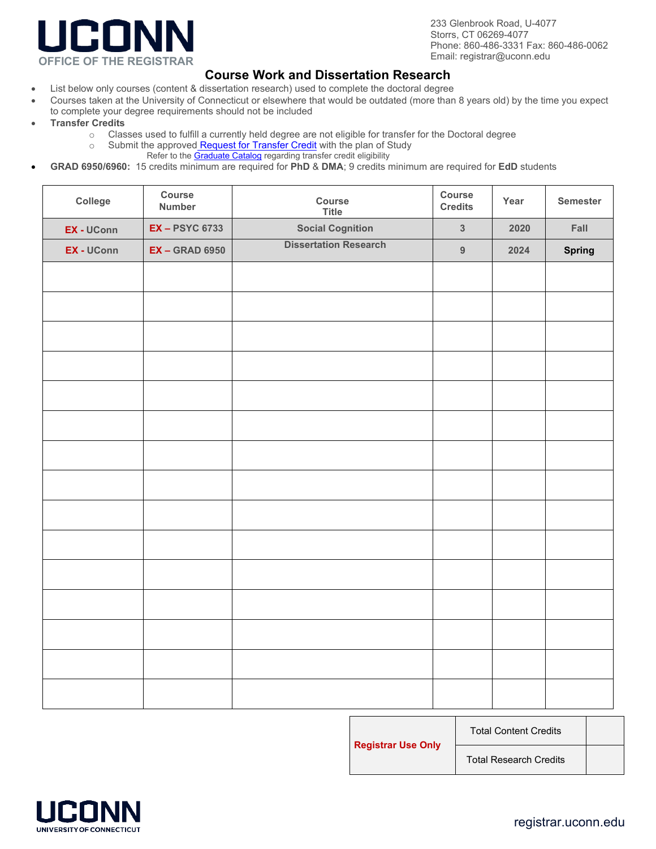

233 Glenbrook Road, U-4077 Storrs, CT 06269-4077 Phone: 860-486-3331 Fax: 860-486-0062

### **Course Work and Dissertation Research**

- List below only courses (content & dissertation research) used to complete the doctoral degree
- Courses taken at the University of Connecticut or elsewhere that would be outdated (more than 8 years old) by the time you expect to complete your degree requirements should not be included
- **Transfer Credits** 
	- o Classes used to fulfill a currently held degree are not eligible for transfer for the Doctoral degree
	- o Submit the approved [Request for Transfer Credit](https://registrar.uconn.edu/wp-content/uploads/sites/1604/2018/09/Transfer-Credit-Request_Grad.pdf) with the plan of Study
		- Refer to the **Graduate Catalog** regarding transfer credit eligibility
- **GRAD 6950/6960:** 15 credits minimum are required for **PhD** & **DMA**; 9 credits minimum are required for **EdD** students

| College    | Course<br><b>Number</b> | Course<br><b>Title</b>       | <b>Course</b><br><b>Credits</b> | Year | <b>Semester</b> |
|------------|-------------------------|------------------------------|---------------------------------|------|-----------------|
| EX - UConn | <b>EX-PSYC 6733</b>     | <b>Social Cognition</b>      | $\mathbf{3}$                    | 2020 | Fall            |
| EX - UConn | <b>EX - GRAD 6950</b>   | <b>Dissertation Research</b> | $\overline{9}$                  | 2024 | <b>Spring</b>   |
|            |                         |                              |                                 |      |                 |
|            |                         |                              |                                 |      |                 |
|            |                         |                              |                                 |      |                 |
|            |                         |                              |                                 |      |                 |
|            |                         |                              |                                 |      |                 |
|            |                         |                              |                                 |      |                 |
|            |                         |                              |                                 |      |                 |
|            |                         |                              |                                 |      |                 |
|            |                         |                              |                                 |      |                 |
|            |                         |                              |                                 |      |                 |
|            |                         |                              |                                 |      |                 |
|            |                         |                              |                                 |      |                 |
|            |                         |                              |                                 |      |                 |
|            |                         |                              |                                 |      |                 |
|            |                         |                              |                                 |      |                 |
|            |                         |                              |                                 |      |                 |
|            |                         |                              |                                 |      |                 |

Total Content Credits

**Registrar Use Only**

Total Research Credits